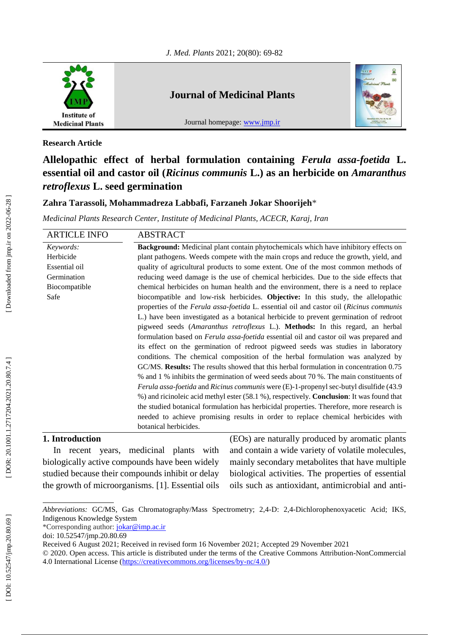

## **Journal of Medicinal Plants**

Journal homepage: [www.jmp.ir](http://www.jmp.ir/)



**Research Article**

# **Allelopathic effect of herbal formulation containing** *Ferula assa -foetida* **L. essential oil and castor oil (***Ricinus communis* **L.) as an herbicide on** *Amaranthus retroflexus* **L. seed germination**

## **Zahra Tarassoli, Mohammadreza Labbafi, Farzaneh Jokar Shoorijeh** \*

*Medicinal Plants Research Center, Institute of Medicinal Plants, ACECR, Karaj, Iran*

| <b>ARTICLE INFO</b> | <b>ABSTRACT</b>                                                                                       |  |  |
|---------------------|-------------------------------------------------------------------------------------------------------|--|--|
| Keywords:           | <b>Background:</b> Medicinal plant contain phytochemicals which have inhibitory effects on            |  |  |
| Herbicide           | plant pathogens. Weeds compete with the main crops and reduce the growth, yield, and                  |  |  |
| Essential oil       | quality of agricultural products to some extent. One of the most common methods of                    |  |  |
| Germination         | reducing weed damage is the use of chemical herbicides. Due to the side effects that                  |  |  |
| Biocompatible       | chemical herbicides on human health and the environment, there is a need to replace                   |  |  |
| Safe                | biocompatible and low-risk herbicides. Objective: In this study, the allelopathic                     |  |  |
|                     | properties of the Ferula assa-foetida L. essential oil and castor oil (Ricinus communis               |  |  |
|                     | L.) have been investigated as a botanical herbicide to prevent germination of redroot                 |  |  |
|                     | pigweed seeds (Amaranthus retroflexus L.). Methods: In this regard, an herbal                         |  |  |
|                     | formulation based on Ferula assa-foetida essential oil and castor oil was prepared and                |  |  |
|                     | its effect on the germination of redroot pigweed seeds was studies in laboratory                      |  |  |
|                     | conditions. The chemical composition of the herbal formulation was analyzed by                        |  |  |
|                     | GC/MS. Results: The results showed that this herbal formulation in concentration 0.75                 |  |  |
|                     | % and 1 % inhibits the germination of weed seeds about 70 %. The main constituents of                 |  |  |
|                     | <i>Ferula assa-foetida</i> and <i>Ricinus communis</i> were (E)-1-propenyl sec-butyl disulfide (43.9) |  |  |
|                     | %) and ricinoleic acid methyl ester (58.1 %), respectively. <b>Conclusion</b> : It was found that     |  |  |
|                     | the studied botanical formulation has herbicidal properties. Therefore, more research is              |  |  |
|                     | needed to achieve promising results in order to replace chemical herbicides with                      |  |  |
|                     | botanical herbicides.                                                                                 |  |  |

## **1. Introduction**

In recent years, medicinal plants with biologically active compounds have been widely studied because their compounds inhibit or delay the growth of microorganisms. [1]. Essential oils (EOs) are naturally produced by aromatic plants and contain a wide variety of volatile molecules, mainly secondary metabolites that have multiple biological activities. The properties of essential oils such as antioxidant, antimicrobial and anti -

*Abbreviations:* GC/MS, Gas Chromatography/Mass Spectrometry; 2,4 -D: 2,4 -Dichlorophenoxyacetic Acid; IKS, Indigenous Knowledge System

<sup>\*</sup>Corresponding author: [jokar@imp.ac.ir](mailto:jokar@imp.ac.ir)

doi: [10.52547/jmp.20.80.69](http://dx.doi.org/10.52547/jmp.20.80.69)

Received 6 August 2021; Received in revised form 16 November 2021; Accepted 29 November 2021

<sup>© 2020.</sup> Open access. This article is distributed under the terms of the Creative Commons Attribution -NonCommercial 4.0 International License [\(https://creativecommons.org/licenses/by](https://creativecommons.org/licenses/by-nc/4.0/)-nc/4.0/)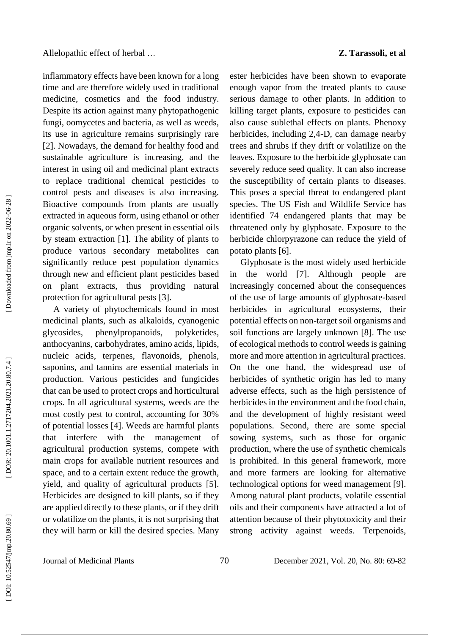inflammatory effects have been known for a long time and are therefore widely used in traditional medicine, cosmetics and the food industry. Despite its action against many phytopathogenic fungi, oomycetes and bacteria, as well as weeds, its use in agriculture remains surprisingly rare [2]. Nowadays, the demand for healthy food and sustainable agriculture is increasing, and the interest in using oil and medicinal plant extracts to replace traditional chemical pesticides to control pests and diseases is also increasing. Bioactive compounds from plants are usually extracted in aqueous form, using ethanol or other organic solvents, or when present in essential oils by steam extraction [1]. The ability of plants to produce various secondary metabolites can significantly reduce pest population dynamics through new and efficient plant pesticides based on plant extracts, thus providing natural protection for agricultural pests [3].

A variety of phytochemicals found in most medicinal plants, such as alkaloids, cyanogenic glycosides, phenylpropanoids, polyketides, anthocyanins, carbohydrates, amino acids, lipids, nucleic acids, terpenes, flavonoids, phenols, saponins, and tannins are essential materials in production. Various pesticides and fungicides that can be used to protect crops and horticultural crops. In all agricultural systems, weeds are the most costly pest to control, accounting for 30% of potential losses [4]. Weeds are harmful plants that interfere with the management of agricultural production systems, compete with main crops for available nutrient resources and space, and to a certain extent reduce the growth, yield, and quality of agricultural products [5]. Herbicides are designed to kill plants, so if they are applied directly to these plants, or if they drift or volatilize on the plants, it is not surprising that they will harm or kill the desired species. Many ester herbicides have been shown to evaporate enough vapor from the treated plants to cause serious damage to other plants. In addition to killing target plants, exposure to pesticides can also cause sublethal effects on plants. Phenoxy herbicides, including 2,4 -D, can damage nearby trees and shrubs if they drift or volatilize on the leaves. Exposure to the herbicide glyphosate can severely reduce seed quality. It can also increase the susceptibility of certain plants to diseases. This poses a special threat to endangered plant species. The US Fish and Wildlife Service has identified 74 endangered plants that may be threatened only by glyphosate. Exposure to the herbicide chlorpyrazone can reduce the yield of potato plants [6].

Glyphosate is the most widely used herbicide in the world [7]. Although people are increasingly concerned about the consequences of the use of large amounts of glyphosate -based herbicides in agricultural ecosystems, their potential effects on non -target soil organisms and soil functions are largely unknown [8]. The use of ecological methods to control weeds is gaining more and more attention in agricultural practices. On the one hand, the widespread use of herbicides of synthetic origin has led to many adverse effects, such as the high persistence of herbicides in the environment and the food chain, and the development of highly resistant weed populations. Second, there are some special sowing systems, such as those for organic production, where the use of synthetic chemicals is prohibited. In this general framework, more and more farmers are looking for alternative technological options for weed management [9]. Among natural plant products, volatile essential oils and their components have attracted a lot of attention because of their phytotoxicity and their strong activity against weeds . Terpenoids,

Downloaded from jmp.ir on 2022-06-28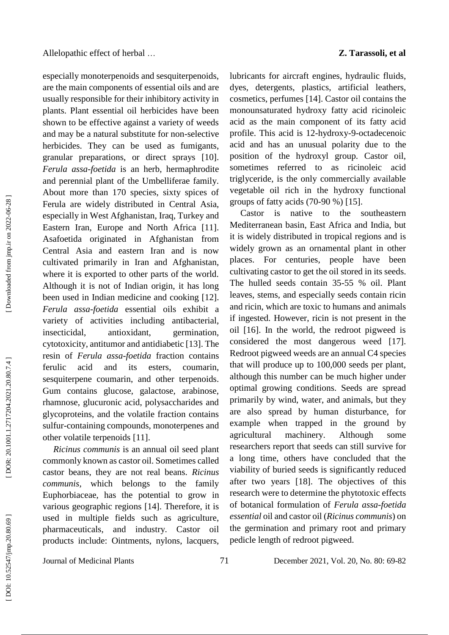especially monoterpenoids and sesquiterpenoids, are the main components of essential oils and are usually responsible for their inhibitory activity in plants. Plant essential oil herbicides have been shown to be effective against a variety of weeds and may be a natural substitute for non -selective herbicides. They can be used as fumigants, granular preparations, or direct sprays [10]. *Ferula assa -foetida* is an herb, hermaphrodite and perennial plant of the Umbelliferae family. About more than 170 species, sixty spices of Ferula are widely distributed in Central Asia, especially in West Afghanistan, Iraq, Turkey and Eastern Iran, Europe and North Africa [11]. Asafoetida originated in Afghanistan from Central Asia and eastern Iran and is now cultivated primarily in Iran and Afghanistan, where it is exported to other parts of the world. Although it is not of Indian origin, it has long been used in Indian medicine and cooking [12]. *Ferula assa -foetida* essential oils exhibit a variety of activities including antibacterial, insecticidal, antioxidant, germination, cytotoxicity, antitumor and antidiabetic [13]. The resin of *Ferula assa -foetida* fraction contains ferulic acid and its esters, coumarin, sesquiterpene coumarin, and other terpenoids. Gum contains glucose, galactose, arabinose, rhamnose, glucuronic acid, polysaccharides and glycoproteins, and the volatile fraction contains sulfur -containing compounds, monoterpenes and other volatile terpenoids [11].

*Ricinus communis* is an annual oil seed plant commonly known as castor oil. Sometimes called castor beans, they are not real beans. *Ricinus communis*, which belongs to the family Euphorbiaceae, has the potential to grow in various geographic regions [14]. Therefore, it is used in multiple fields such as agriculture, pharmaceuticals, and industry. Castor oil products include: Ointments, nylons, lacquers,

lubricants for aircraft engines, hydraulic fluids, dyes, detergents, plastics, artificial leathers, cosmetics, perfumes [14]. Castor oil contains the monounsaturated hydroxy fatty acid ricinoleic acid as the main component of its fatty acid profile. This acid is 12 -hydroxy - 9 -octadecenoic acid and has an unusual polarity due to the position of the hydroxyl group. Castor oil, sometimes referred to as ricinoleic acid triglyceride, is the only commercially available vegetable oil rich in the hydroxy functional groups of fatty acids (70 -90 %) [15].

Castor is native to the southeastern Mediterranean basin, East Africa and India, but it is widely distributed in tropical regions and is widely grown as an ornamental plant in other places. For centuries, people have been cultivating castor to get the oil stored in its seeds. The hulled seeds contain 35 -55 % oil. Plant leaves, stems, and especially seeds contain ricin and ricin, which are toxic to humans and animals if ingested. However, ricin is not present in the oil [16]. In the world, the redroot pigweed is considered the most dangerous weed [17]. Redroot pigweed weeds are an annual C4 species that will produce up to 100,000 seeds per plant, although this number can be much higher under optimal growing conditions. Seeds are spread primarily by wind, water, and animals, but they are also spread by human disturbance, for example when trapped in the ground by agricultural machinery. Although some researchers report that seeds can still survive for a long time, others have concluded that the viability of buried seeds is significantly reduced after two years [18]. The objectives of this research were to determine the phytotoxic effects of botanical formulation of *Ferula as s a -foetida essential* oil and castor oil (*Ricinus communis*) on the germination and primary root and primary pedicle length of redroot pigweed.

 [\[ DOI: 10.52547/jmp.20.80.69 \]](http://dx.doi.org/10.52547/jmp.20.80.69) [\[ DOR: 20.1001.1.2717204.2021.20.80.7.4](https://dorl.net/dor/20.1001.1.2717204.2021.20.80.7.4) ] [\[ Downloaded from jmp.ir on 2022-06-28 \]](https://jmp.ir/article-1-3189-en.html) DOR: 20.1001.1.2717204.2021.20.80.7.4]

Downloaded from jmp.ir on 2022-06-28

Journal of Medicinal Plants 71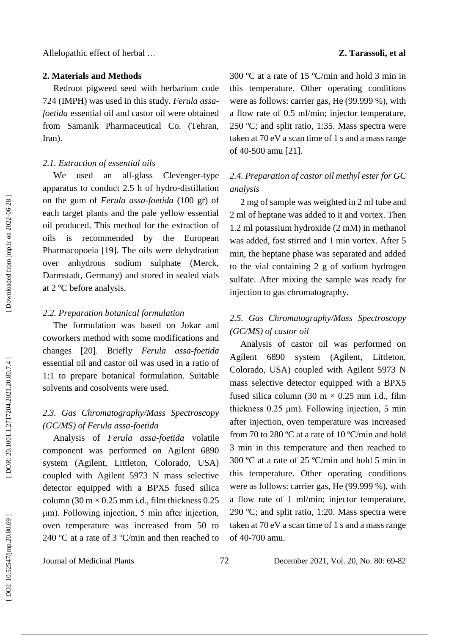#### **2. Materials and Methods**

Redroot pigweed seed with herbarium code 724 (IMPH) was used in this study. *Ferula assa foetida* essential oil and castor oil were obtained from Samanik Pharmaceutical Co. (Tehran, Iran).

### *2.1. Extraction of essential oils*

We used an all-glass -glass Clevenger-type apparatus to conduct 2.5 h of hydro -distillation on the gum of *Ferula assa -foetida* (100 gr) of each target plants and the pale yellow essential oil produced. This method for the extraction of oils is recommended by the European Pharmacopoeia [19]. The oils were dehydration over anhydrous sodium sulphate (Merck, Darmstadt, Germany) and stored in sealed vials at 2 ºC before analysis.

#### *2.2. Preparation botanical formulation*

The formulation was based on Jokar and coworkers method with some modifications and changes [20]. Briefly *Ferula assa -foetida* essential oil and castor oil was used in a ratio of 1:1 to prepare botanical formulation. Suitable solvents and cosolvents were used.

## *2. 3. Gas Chromatography/Mass Spectroscopy (GC/MS) of Ferula assa -foetida*

Analysis of *Ferula assa -foetida* volatile component was performed on Agilent 6890 system (Agilent, Littleton, Colorado, USA) coupled with Agilent 5973 N mass selective detector equipped with a BPX5 fused silica column (30 m  $\times$  0.25 mm i.d., film thickness 0.25 μm). Following injection, 5 min after injection, oven temperature was increased from 50 to 240 ºC at a rate of 3 ºC/min and then reached to

300 ºC at a rate of 15 ºC/min and hold 3 min in this temperature. Other operating conditions were as follows: carrier gas, He (99.999 %), with a flow rate of 0.5 ml/min; injector temperature, 250 ºC; and split ratio, 1:35. Mass spectra were taken at 70 eV a scan time of 1 s and a mass range of 40 -500 amu [21].

## *2. 4. Preparation of castor oil methyl ester for GC analysis*

2 mg of sample was weighted in 2 ml tube and 2 ml of heptane was added to it and vortex. Then 1.2 ml potassium hydroxide (2 mM) in methanol was added, fast stirred and 1 min vortex. After 5 min, the heptane phase was separated and added to the vial containing 2 g of sodium hydrogen sulfate. After mixing the sample was ready for injection to gas chromatography.

## *2. 5. Gas Chromatography/Mass Spectroscopy (GC/MS) of castor o i l*

Analysis of castor oil was performed on Agilent 6890 system (Agilent, Littleton, Colorado, USA) coupled with Agilent 5973 N mass selective detector equipped with a BPX5 fused silica column (30 m  $\times$  0.25 mm i.d., film thickness 0.25 μm). Following injection, 5 min after injection, oven temperature was increased from 70 to 280 ºC at a rate of 10 ºC/min and hold 3 min in this temperature and then reached to 300 ºC at a rate of 25 ºC/min and hold 5 min in this temperature. Other operating conditions were as follows: carrier gas, He (99.999 %), with a flow rate of 1 ml/min; injector temperature, 290 ºC; and split ratio, 1:20. Mass spectra were taken at 70 eV a scan time of 1 s and a mass range of 40 -700 amu.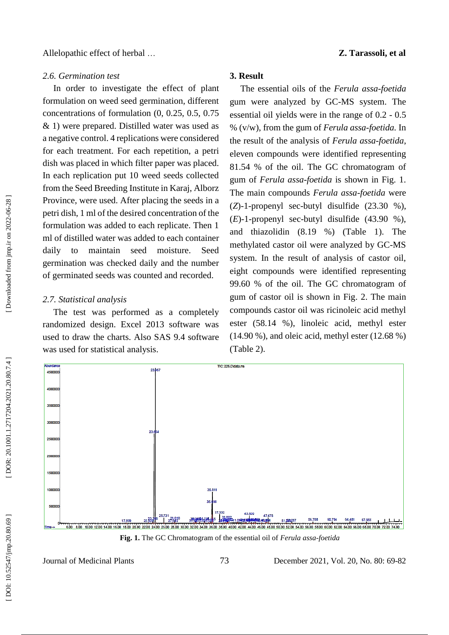#### *2.6. Germination test*

In order to investigate the effect of plant formulation on weed seed germination, different concentrations of formulation (0, 0.25, 0.5, 0.75 & 1) were prepared. Distilled water was used as a negative control. 4 replications were considered for each treatment. For each repetition, a petri dish was placed in which filter paper was placed. In each replication put 10 weed seeds collected from the Seed Breeding Institute in Karaj, Alborz Province, were used. After placing the seeds in a petri dish, 1 ml of the desired concentration of the formulation was added to each replicate. Then 1 ml of distilled water was added to each container daily to maintain seed moisture. Seed germination was checked daily and the number of germinated seeds was counted and recorded.

#### *2.7. Statistical analysis*

**Mundan** 

The test was performed as a completely randomized design. Excel 2013 software was used to draw the charts. Also SAS 9.4 software was used for statistical analysis.

## **3. Result**

The essential oils of the *Ferula assa -foetida* gum were analyzed by GC -MS system. The essential oil yields were in the range of 0.2 - 0.5 % (v/w), from the gum of *Ferula assa -foetida.* In the result of the analysis of *Ferula assa -foetida*, eleven compounds were identified representing 81.54 % of the oil. The GC chromatogram of gum of *Ferula assa -foetida* is shown in Fig. 1. The main compounds *Ferula assa -foetida* were ( *Z*) - 1 - propenyl sec -butyl disulfide (23.30 %),  $(E)$ -1-propenyl sec-butyl disulfide  $(43.90\%),$ and thiazolidin (8.19 %) (Table 1). The methylated castor oil were analyzed by GC -MS system. In the result of analysis of castor oil, eight compounds were identified representing 99.60 % of the oil. The GC chromatogram of gum of castor oil is shown in Fig . 2. The main compounds castor oil was ricinoleic acid methyl ester (58.14 %), linoleic acid, methyl ester (14.90 %), and oleic acid, methyl ester (12.68 %) (Table 2).



**Fig . 1.** The GC Chromatogram of the essential oil of *Ferula assa -foetida*

Journal of Medicinal Plants 73

DOI: 10.52547/jmp.20.80.69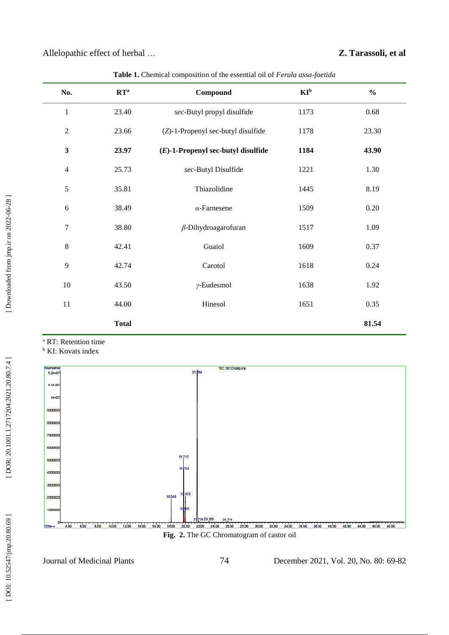| No.            | $RT^a$       | Compound                              | $KI^b$ | $\frac{0}{0}$ |
|----------------|--------------|---------------------------------------|--------|---------------|
| $\,1$          | 23.40        | sec-Butyl propyl disulfide            | 1173   | 0.68          |
| $\sqrt{2}$     | 23.66        | (Z)-1-Propenyl sec-butyl disulfide    | 1178   | 23.30         |
| $\mathbf{3}$   | 23.97        | $(E)$ -1-Propenyl sec-butyl disulfide | 1184   | 43.90         |
| $\overline{4}$ | 25.73        | sec-Butyl Disulfide                   | 1221   | 1.30          |
| $\sqrt{5}$     | 35.81        | Thiazolidine                          | 1445   | 8.19          |
| $\sqrt{6}$     | 38.49        | $\alpha$ -Farnesene                   | 1509   | $0.20\,$      |
| $\tau$         | 38.80        | $\beta$ -Dihydroagarofuran            | 1517   | 1.09          |
| $\,8\,$        | 42.41        | Guaiol                                | 1609   | 0.37          |
| 9              | 42.74        | Carotol                               | 1618   | 0.24          |
| $10\,$         | 43.50        | $\gamma$ -Eudesmol                    | 1638   | 1.92          |
| $11\,$         | 44.00        | Hinesol                               | 1651   | 0.35          |
|                | <b>Total</b> |                                       |        | 81.54         |
|                |              |                                       |        |               |

**Table 1.** Chemical composition of the essential oil of *Ferula assa -foetida*

<sup>a</sup> RT: Retention time

**b** KI: Kovats index



**Fig . 2.** The GC Chromatogram of castor oil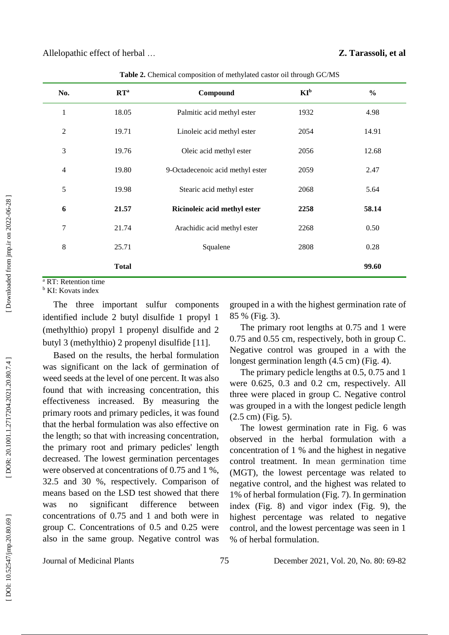| No.            | $\mathbf{R}\mathbf{T}^{\mathrm{a}}$ | Compound                         | $KI_p$ | $\frac{6}{6}$ |
|----------------|-------------------------------------|----------------------------------|--------|---------------|
| $\mathbf{1}$   | 18.05                               | Palmitic acid methyl ester       | 1932   | 4.98          |
| 2              | 19.71                               | Linoleic acid methyl ester       | 2054   | 14.91         |
| 3              | 19.76                               | Oleic acid methyl ester          | 2056   | 12.68         |
| $\overline{4}$ | 19.80                               | 9-Octadecenoic acid methyl ester | 2059   | 2.47          |
| 5              | 19.98                               | Stearic acid methyl ester        | 2068   | 5.64          |
| 6              | 21.57                               | Ricinoleic acid methyl ester     | 2258   | 58.14         |
| 7              | 21.74                               | Arachidic acid methyl ester      | 2268   | 0.50          |
| 8              | 25.71                               | Squalene                         | 2808   | 0.28          |
|                | <b>Total</b>                        |                                  |        | 99.60         |
|                |                                     |                                  |        |               |

**Table 2.** Chemical composition of methylated castor oil through GC /MS

<sup>a</sup> RT: Retention time

**b** KI: Kovats index

The three important sulfur components identified include 2 butyl disulfide 1 propyl 1 (methylthio) propyl 1 propenyl disulfide and 2 butyl 3 (methylthio) 2 propenyl disulfide [11] .

Based on the results, the herbal formulation was significant on the lack of germination of weed seeds at the level of one percent. It was also found that with increasing concentration, this effectiveness increased. By measuring the primary roots and primary pedicles, it was found that the herbal formulation was also effective on the length; so that with increasing concentration, the primary root and primary pedicles' length decreased. The lowest germination percentages were observed at concentrations of 0.75 and 1 %, 32.5 and 30 %, respectively. Comparison of means based on the LSD test showed that there was no significant difference between concentrations of 0.75 and 1 and both were in group C. Concentrations of 0.5 and 0.25 were also in the same group. Negative control was

grouped in a with the highest germination rate of 85 % (Fig. 3) .

The primary root lengths at 0.75 and 1 were 0.75 and 0.55 cm, respectively, both in group C. Negative control was grouped in a with the longest germination length (4.5 cm) (Fig. 4).

The primary pedicle lengths at 0.5, 0.75 and 1 were 0.625, 0.3 and 0.2 cm, respectively. All three were placed in group C. Negative control was grouped in a with the longest pedicle length (2.5 cm) (Fig. 5).

The lowest germination rate in Fig. 6 was observed in the herbal formulation with a concentration of 1 % and the highest in negative control treatment. In mean germination time (MGT), the lowest percentage was related to negative control, and the highest was related to 1% of herbal formulation (Fig. 7). In germination index (Fig. 8) and vigor index (Fig. 9), the highest percentage was related to negative control, and the lowest percentage was seen in 1 % of herbal formulation.

Journal of Medicinal Plants 75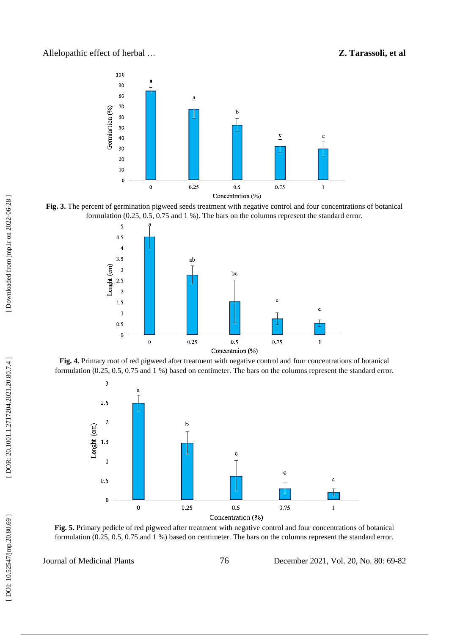## … **Z. Tarassoli, et al**











**Fig. 5.** Primary pedicle of red pigweed after treatment with negative control and four concentrations of botanical formulation (0.25, 0.5, 0.75 and 1 %) based on centimeter. The bars on the columns represent the standard error.

Journal of Medicinal Plants 76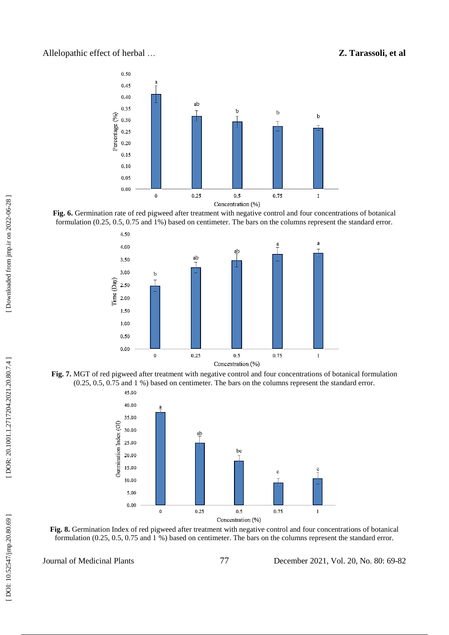### Allelopathic effect of herbal

## … **Z. Tarassoli, et al**



**Fig. 6.** Germination rate of red pigweed after treatment with negative control and four concentrations of botanical formulation (0.25, 0.5, 0.75 and 1%) based on centimeter. The bars on the columns represent the standard error.



**Fig. 7.** MGT of red pigweed after treatment with negative control and four concentrations of botanical formulation (0.25, 0.5, 0.75 and 1 %) based on centimeter. The bars on the columns represent the standard error.



**Fig. 8.** Germination Index of red pigweed after treatment with negative control and four concentrations of botanical formulation (0.25, 0.5, 0.75 and 1 %) based on centimeter. The bars on the columns represent the standard error.

Journal of Medicinal Plants 77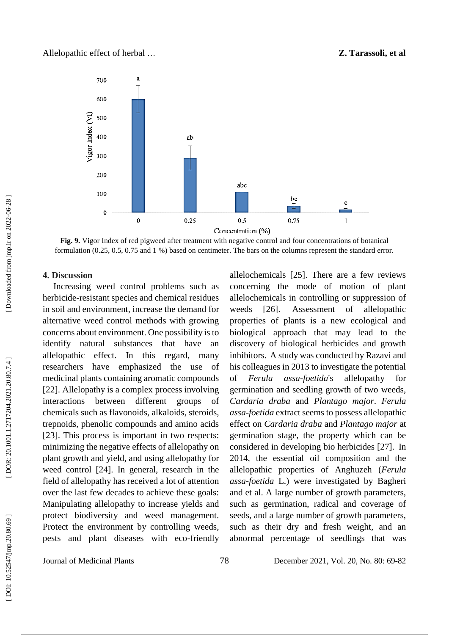

**Fig. 9.** Vigor Index of red pigweed after treatment with negative control and four concentrations of botanical formulation (0.25, 0.5, 0.75 and 1 %) based on centimeter. The bars on the columns represent the standard error.

#### **4. Discussion**

Increasing weed control problems such as herbicide -resistant species and chemical residues in soil and environment , increas e the demand for alternative weed control methods with growing concerns about environment. One possibility is to identify natural substances that have an allelopathic effect. In this regard, many researchers have emphasized the use of medicinal plants containing aromatic compounds [22]. Allelopathy is a complex process involving interactions between different groups of chemicals such as flavonoids, alkaloids, steroids, trepnoids, phenolic compounds and amino acids [23]. This process is important in two respects: minimizing the negative effects of allelopathy on plant growth and yield, and using allelopathy for weed control [24]. In general, research in the field of allelopathy has received a lot of attention over the last few decades to achieve these goals: Manipulating allelopathy to increase yields and protect biodiversity and weed management. Protect the environment by controlling weeds, pests and plant diseases with eco -friendly allelochemicals [25]. There are a few reviews concerning the mode of motion of plant allelochemicals in controlling or suppression of weeds [26]. . Assessment of allelopathic properties of plants is a new ecological and biological approach that may lead to the discovery of biological herbicides and growth inhibitors. A study was conducted by Razavi and his colleagues in 2013 to investigate the potential of *Ferula a* assa-foetida's allelopathy for germination and seedling growth of two weeds, *Cardaria draba* and *Plantago major*. *Ferula assa-foetida* extract seems to possess allelopathic effect on *Cardaria draba* and *Plantago major* at germination stage, the property which can be considered in developing bio herbicides [27] . In 2014, the essential oil composition and the allelopathic properties of Anghuzeh (*Ferula assa -foetida* L.) were investigated by Bagheri and et al. A large number of growth parameters, such as germination, radical and coverage of seeds, and a large number of growth parameters, such as their dry and fresh weight, and an abnormal percentage of seedlings that was

Journal of Medicinal Plants 78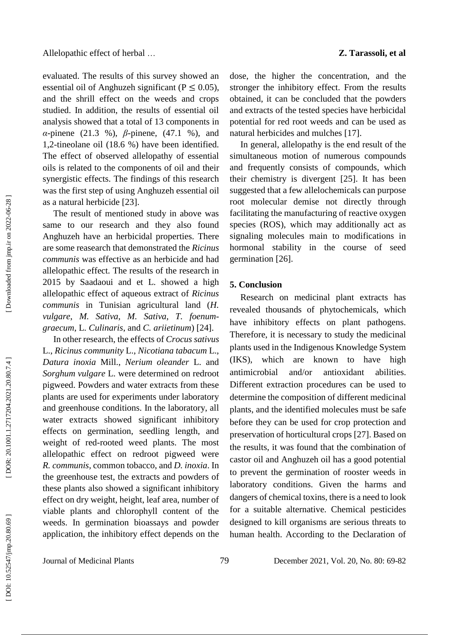evaluated. The results of this survey showed an essential oil of Anghuzeh significant ( $P \le 0.05$ ), and the shrill effect on the weeds and crops studied. In addition, the results of essential oil analysis showed that a total of 13 components in *α*-pinene (21.3 %), *β*-pinene, (47.1 %), and 1,2 - tineolane oil (18.6 %) have been identified. The effect of observed allelopathy of essential oils is related to the components of oil and their synergistic effects. The findings of this research was the first step of using Anghuzeh essential oil as a natural herbicide [23] .

The result of mentioned study in above was same to our research and they also found Anghuzeh have an herbicidal properties. There are some reasearch that demonstrated the *Ricinus communis* was effective as an herbicide and had allelopathic effect. The results of the research in 2015 by Saadaoui and et L. showed a high allelopathic effect of aqueous extract of *Ricinus communis* in Tunisian agricultural land (*H. vulgare*, *M. Sativa*, *M. Sativa*, *T. foenumgraecum*, L*. Culinaris*, and *C. ariietinum*) [24].

In other research, the effects of *Crocus sativus* L., *Ricinus community* L., *Nicotiana tabacum* L., *Datura inoxia* Mill., *Nerium oleander* L. and *Sorghum vulgare* L. were determined on redroot pigweed. Powders and water extracts from these plants are used for experiments under laboratory and greenhouse conditions. In the laboratory, all water extracts showed significant inhibitory effects on germination, seedling length, and weight of red -rooted weed plants. The most allelopathic effect on redroot pigweed were *R. communis*, common tobacco, and *D. inoxia*. In the greenhouse test, the extracts and powders of these plants also showed a significant inhibitory effect on dry weight, height, leaf area, number of viable plants and chlorophyll content of the weeds. In germination bioassays and powder application, the inhibitory effect depends on the

dose, the higher the concentration, and the stronger the inhibitory effect. From the results obtained, it can be concluded that the powders and extracts of the tested species have herbicidal potential for red root weeds and can be used as natural herbicides and mulches [17] .

In general, allelopathy is the end result of the simultaneous motion of numerous compounds and frequently consists of compounds, which their chemistry is divergent [25] . It has been suggested that a few allelochemicals can purpose root molecular demise not directly through facilitating the manufacturing of reactive oxygen species (ROS), which may additionally act as signaling molecules main to modifications in hormonal stability in the course of seed germination [26] .

## **5. Conclusion**

Research on medicinal plant extracts has revealed thousands of phytochemicals, which have inhibitory effects on plant pathogens. Therefore, it is necessary to study the medicinal plants used in the Indigenous Knowledge System (IKS), which are known to have high antimicrobial and/or antioxidant abilities. Different extraction procedures can be used to determine the composition of different medicinal plants, and the identified molecules must be safe before they can be used for crop protection and preservation of horticultural crops [27]. Based on the results, it was found that the combination of castor oil and Anghuzeh oil has a good potential to prevent the germination of rooster weeds in laboratory conditions. Given the harms and dangers of chemical toxins, there is a need to look for a suitable alternative. Chemical pesticides designed to kill organisms are serious threats to human health. According to the Declaration of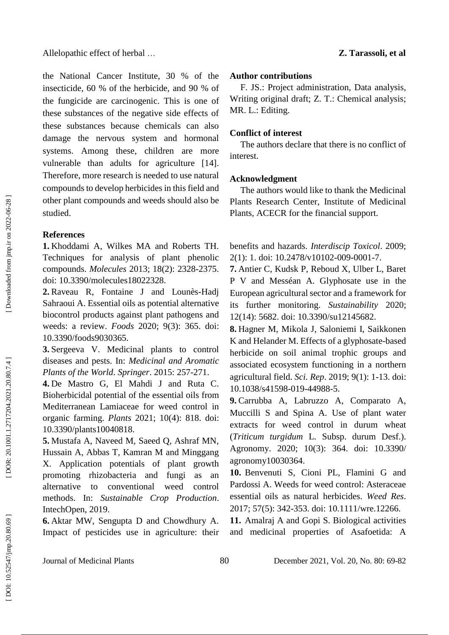the National Cancer Institute, 30 % of the insecticide, 60 % of the herbicide, and 90 % of the fungicide are carcinogenic. This is one of these substances of the negative side effects of these substances because chemicals can also damage the nervous system and hormonal systems. Among these, children are more vulnerable than adults for agriculture [14]. Therefore, more research is needed to use natural compounds to develop herbicides in this field and other plant compounds and weeds should also be studied.

### **References**

**1.** Khoddami A, Wilkes MA and Roberts TH. Techniques for analysis of plant phenolic compounds. *Molecules* 2013; 18(2): 2328 -2375. doi: 10.3390/molecules18022328.

2. Raveau R, Fontaine J and Lounès-Hadj Sahraoui A. Essential oils as potential alternative biocontrol products against plant pathogens and weeds: a review. *Foods* 2020; 9(3): 365. doi: 10.3390/foods9030365.

**3.** Sergeeva V. Medicinal plants to control diseases and pests. In: *Medicinal and Aromatic Plants of the World*. *Springer* . 2015: 257 -271.

**4 .** De Mastro G, El Mahdi J and Ruta C. Bioherbicidal potential of the essential oils from Mediterranean Lamiaceae for weed control in organic farming. *Plants* 2021; 10(4): 818. doi: [10.3390/plants10040818](https://doi.org/10.3390/plants10040818) .

**5 .** Mustafa A, Naveed M, Saeed Q, Ashraf MN, Hussain A, Abbas T, Kamran M and Minggang X. Application potentials of plant growth promoting rhizobacteria and fungi as an alternative to conventional weed control methods. In: *Sustainable Crop Production*. IntechOpen , 2019.

**6 .** Aktar MW, Sengupta D and Chowdhury A. Impact of pesticides use in agriculture: their

### **Author contributions**

F. JS.: Project administration, Data analysis, Writing original draft; Z. T.: Chemical analysis; MR. L.: Editing.

… **Z. Tarassoli, et al**

## **Conflict of interest**

The authors declare that there is no conflict of interest.

## **Acknowledgment**

The authors would like to thank the Medicinal Plants Research Center, Institute of Medicinal Plants, ACECR for the financial support.

benefits and hazards. *Interdiscip Toxicol*. 2009; 2(1): 1. doi: 10.2478/v10102-009-0001-7.

**7.** Antier C, Kudsk P, Reboud X, Ulber L, Baret P V and Messéan A. Glyphosate use in the European agricultural sector and a framework for its further monitoring. *Sustainability* 2020; 12(14): 5682. doi: [10.3390/su12145682](https://doi.org/10.3390/su12145682) .

**8 .** Hagner M, Mikola J, Saloniemi I, Saikkonen K and Helander M. Effects of a glyphosate -based herbicide on soil animal trophic groups and associated ecosystem functioning in a northern agricultural field. *Sci . Rep*. 2019; 9(1): 1 -13. doi: [10.1038/s41598](https://doi.org/10.1038/s41598-019-44988-5) -019 -44988 - 5 .

**9 .** Carrubba A, Labruzzo A, Comparato A, Muccilli S and Spina A. Use of plant water extracts for weed control in durum wheat (*Triticum turgidum* L. Subsp. durum Desf.). Agronomy. 2020; 10(3): 364. doi: [10.3390/](https://doi.org/10.3390/agronomy10030364)  [agronomy10030364](https://doi.org/10.3390/agronomy10030364) .

**10 .** Benvenuti S, Cioni PL, Flamini G and Pardossi A. Weeds for weed control: Asteraceae essential oils as natural herbicides. *Weed Res*. 2017; 57(5): 342 -353. doi: [10.1111/wre.12266](https://doi.org/10.1111/wre.12266) .

**11 .** Amalraj A and Gopi S. Biological activities and medicinal properties of Asafoetida: A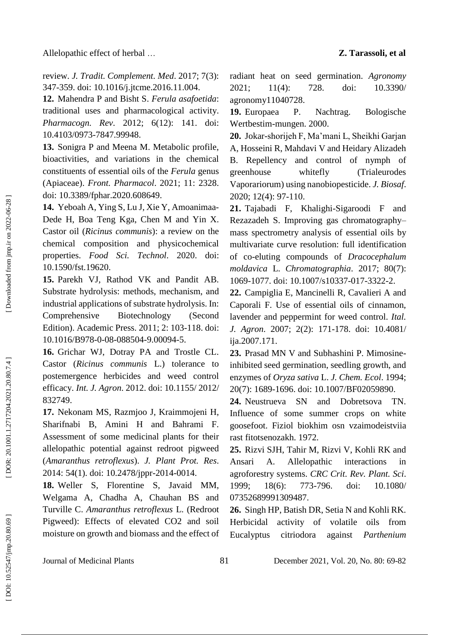review. *J. Tradit . Complement . Med*. 2017; 7(3): 347 -359. doi: [10.1016/j.jtcme.2016.11.004](https://doi.org/10.1016/j.jtcme.2016.11.004) .

**12 .** Mahendra P and Bisht S. *Ferula asafoetida*: traditional uses and pharmacological activity. *Pharmacogn . Rev*. 2012; 6(12): 141. doi: [10.4103/0973](https://dx.doi.org/10.4103%2F0973-7847.99948) -7847.99948 .

**13 .** Sonigra P and Meena M. Metabolic profile, bioactivities, and variations in the chemical constituents of essential oils of the *Ferula* genus (Apiaceae). *Front . Pharmacol*. 2021; 11: 2328. doi: [10.3389/fphar.2020.608649](https://doi.org/10.3389/fphar.2020.608649) .

14. Yeboah A, Ying S, Lu J, Xie Y, Amoanimaa-Dede H, Boa Teng Kga, Chen M and Yin X. Castor oil (*Ricinus communis*): a review on the chemical composition and physicochemical properties. *Food Sci . Technol*. 2020. doi: [10.1590/fst.19620](https://doi.org/10.1590/fst.19620) .

**15 .** Parekh VJ, Rathod VK and Pandit AB. Substrate hydrolysis: methods, mechanism, and industrial applications of substrate hydrolysis. In: [Comprehensive Biotechnology \(Second](https://www.sciencedirect.com/science/referenceworks/9780080885049)  [Edition\).](https://www.sciencedirect.com/science/referenceworks/9780080885049) Academic Press. 2011; 2: 103 -118 . doi: [10.1016/B978](http://dx.doi.org/10.1016/B978-0-08-088504-9.00094-5)-0-08-088504-9.00094-5.

**16 .** Grichar WJ, Dotray PA and Trostle CL. Castor (*Ricinus communis* L.) tolerance to postemergence herbicides and weed control efficacy. *Int . J. Agron*. 2012. doi: [10.1155/](https://doi.org/10.1155/2012/832749) 2012/ [832749](https://doi.org/10.1155/2012/832749) .

**17 .** Nekonam MS, Razmjoo J, Kraimmojeni H, Sharifnabi B, Amini H and Bahrami F. Assessment of some medicinal plants for their allelopathic potential against redroot pigweed (*Amaranthus retroflexus*). *J. Plant Prot. Res*. 2014: 54(1) . doi: 10.2478/jppr -2014 -0014 .

**18 .** Weller S, Florentine S, Javaid MM, Welgama A, Chadha A, Chauhan BS and Turville C. *Amaranthus retroflexus* L. (Redroot Pigweed): Effects of elevated CO2 and soil moisture on growth and biomass and the effect of

radiant heat on seed germination. *Agronomy* 2021; 11(4): 728. doi: [10.3390/](https://doi.org/10.3390/agronomy11040728)  [agronomy11040728](https://doi.org/10.3390/agronomy11040728) .

**19** P. Nachtrag. Bologische Wertbestim -mungen. 2000.

**20 .** Jokar -shorijeh F, Ma'mani L, Sheikhi Garjan A, Hosseini R, Mahdavi V and Heidary Alizadeh B. Repellency and control of nymph of greenhouse whitefly (Trialeurodes Vaporariorum) using nanobiopesticide. *J. Biosaf*. 2020; 12(4): 97 -110.

**21 .** Tajabadi F, Khalighi -Sigaroodi F and Rezazadeh S. Improving gas chromatography – mass spectrometry analysis of essential oils by multivariate curve resolution: full identification of c o -eluting compounds of *Dracocephalum moldavica* L. *Chromatographia*. 2017; 8 0(7): 1069 -1077. doi: [10.1007/s10337](https://doi.org/10.1007/s10337-017-3322-2) -017 -3322 - 2 .

**22 .** Campiglia E, Mancinelli R, Cavalieri A and Caporali F. Use of essential oils of cinnamon, lavender and peppermint for weed control. *Ital . J. Agron*. 2007; 2(2): 171 -178. doi: [10.4081/](https://doi.org/10.4081/ija.2007.171) [ija.2007.171](https://doi.org/10.4081/ija.2007.171) .

**23 .** Prasad MN V and Subhashini P. Mimosine inhibited seed germination, seedling growth, and enzymes of *Oryza sativa* L. *J. Chem . Ecol*. 1994; 20(7): 1689 -1696. doi: [10.1007/BF02059890](https://doi.org/10.1007/BF02059890) .

**24 .** Neustrueva SN and Dobretsova TN. Influence of some summer crops on white goosefoot. Fiziol biokhim osn vzaimodeistviia rast fitotsenozakh. 1972.

**25 .** Rizvi SJH, Tahir M, Rizvi V, Kohli RK and Ansari A. Allelopathic interactions in agroforestry systems. *CRC Crit . Rev . Plant . Sci*. 1999; 18(6); 773-796. doi: 10.1080/ [07352689991309487](https://doi.org/10.1080/07352689991309487) .

**26 .** Singh HP, Batish DR, Setia N and Kohli RK. Herbicidal activity of volatile oils from Eucalyptus citriodora against *Parthenium* 

DOR: 20.1001.1.2717204.2021.20.80.7.4]

Downloaded from jmp.ir on 2022-06-28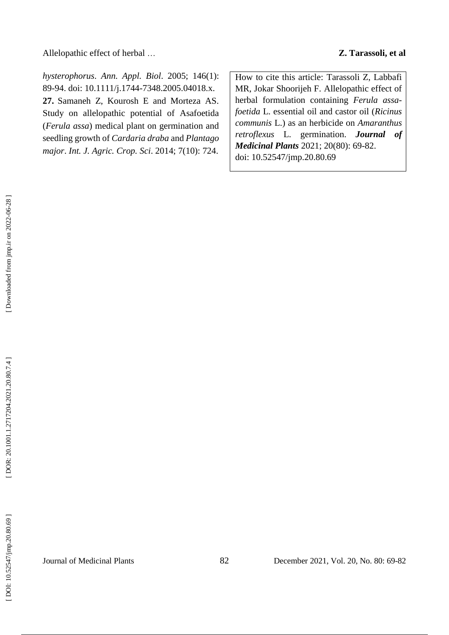Allelopathic effect of herbal …

*hysterophorus*. *Ann . Appl . Biol*. 2005; 146(1): 89 -94. doi: 10.1111/j.1744 [-7348.2005.04018.x](https://doi.org/10.1111/j.1744-7348.2005.04018.x) . **27 .** Samaneh Z, Kourosh E and Morteza AS. Study on allelopathic potential of Asafoetida (*Ferula assa*) medical plant on germination and seedling growth of *Cardaria draba* and *Plantago major*. *Int . J. Agric . Crop . Sci*. 2014; 7(10): 724.

How to cite this article: Tarassoli Z, Labbafi MR, Jokar Shoorijeh F. Allelopathic effect of herbal formulation containing *Ferula assa foetida* L. essential oil and castor oil (*Ricinus communis* L.) as an herbicide on *Amaranthus retroflexus* L. germination . *Journal of Medicinal Plants* 2021; 20(80): 69 -82. doi: [10.52547/jmp.20.80.69](http://dx.doi.org/10.52547/jmp.20.80.69)